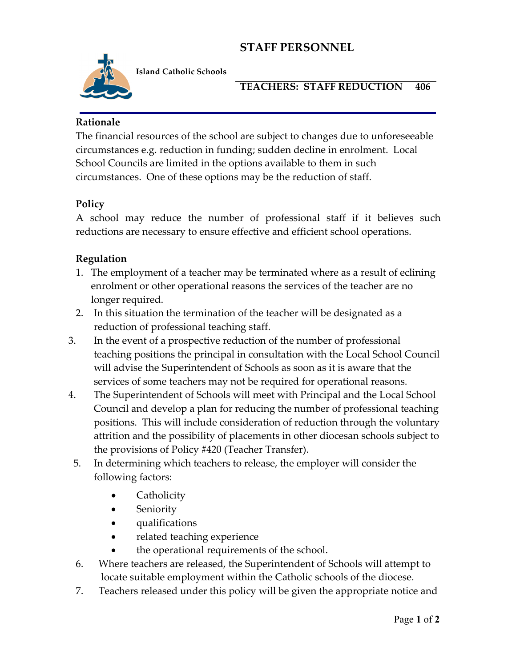# **STAFF PERSONNEL**



**Island Catholic Schools** 

#### **TEACHERS: STAFF REDUCTION 406**

#### **Rationale**

The financial resources of the school are subject to changes due to unforeseeable circumstances e.g. reduction in funding; sudden decline in enrolment. Local School Councils are limited in the options available to them in such circumstances. One of these options may be the reduction of staff.

### **Policy**

A school may reduce the number of professional staff if it believes such reductions are necessary to ensure effective and efficient school operations.

### **Regulation**

- 1. The employment of a teacher may be terminated where as a result of eclining enrolment or other operational reasons the services of the teacher are no longer required.
- 2. In this situation the termination of the teacher will be designated as a reduction of professional teaching staff.
- 3. In the event of a prospective reduction of the number of professional teaching positions the principal in consultation with the Local School Council will advise the Superintendent of Schools as soon as it is aware that the services of some teachers may not be required for operational reasons.
- 4. The Superintendent of Schools will meet with Principal and the Local School Council and develop a plan for reducing the number of professional teaching positions. This will include consideration of reduction through the voluntary attrition and the possibility of placements in other diocesan schools subject to the provisions of Policy #420 (Teacher Transfer).
- 5. In determining which teachers to release, the employer will consider the following factors:
	- Catholicity
	- **Seniority**
	- qualifications
	- related teaching experience
	- the operational requirements of the school.
- 6. Where teachers are released, the Superintendent of Schools will attempt to locate suitable employment within the Catholic schools of the diocese.
- 7. Teachers released under this policy will be given the appropriate notice and